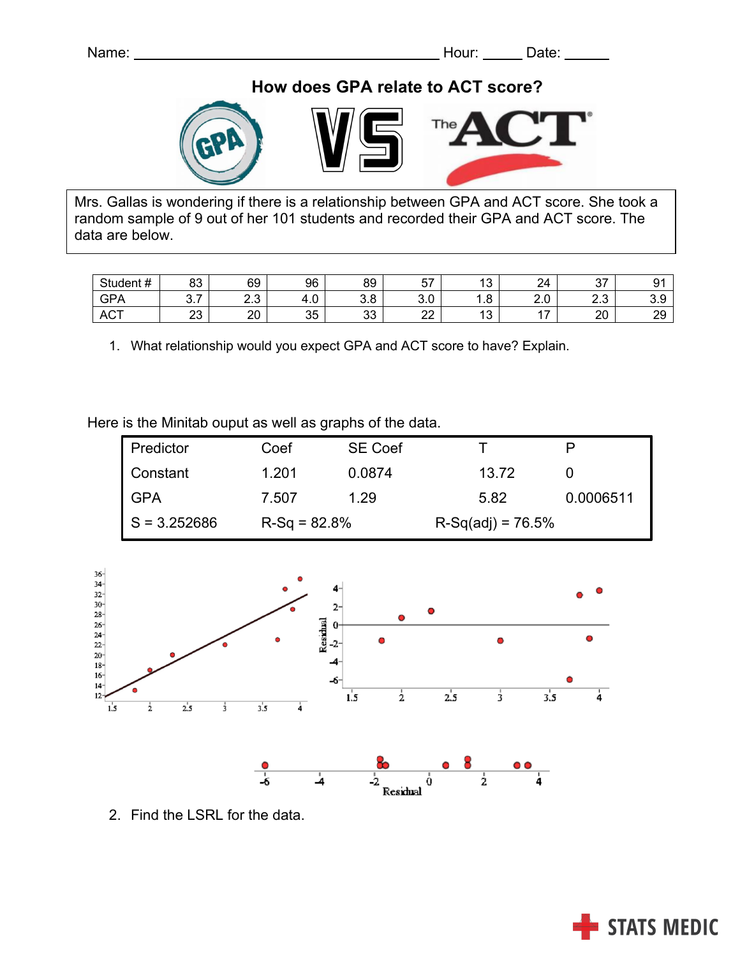## **How does GPA relate to ACT score?**



Mrs. Gallas is wondering if there is a relationship between GPA and ACT score. She took a random sample of 9 out of her 101 students and recorded their GPA and ACT score. The data are below.

| Student#   | n n<br>ပၪ     | 69                   | 96       | 89         | ΕЭ<br>ັບເ            | 10<br>1 J    | 2 <sub>A</sub><br>- | $\sim$<br>، ب           | О1<br>ັ |
|------------|---------------|----------------------|----------|------------|----------------------|--------------|---------------------|-------------------------|---------|
| <b>GPA</b> | -<br>⌒<br>◡.≀ | $\sim$ $\sim$<br>ے ۔ | ⊶<br>⊤.∪ | റ റ<br>ບ.ບ | $\sim$ $\sim$<br>v.v | ൦<br>1.O     | $\sim$<br>∠.∪       | $\sim$<br>$\sim$<br>ن.ء | 3.9     |
| <b>ACT</b> | nn<br>دے      | റല<br>∠∪             | 35       | nn<br>ບບ   | nn<br>∼              | 10<br>$\sim$ | . .                 | 20                      | 29      |

1. What relationship would you expect GPA and ACT score to have? Explain.

Here is the Minitab ouput as well as graphs of the data.

| Predictor      | Coef           | <b>SE Coef</b> |                     | P         |
|----------------|----------------|----------------|---------------------|-----------|
| Constant       | 1.201          | 0.0874         | 13.72               |           |
| <b>GPA</b>     | 7.507          | 1.29           | 5.82                | 0.0006511 |
| $S = 3.252686$ | $R-Sq = 82.8%$ |                | $R-Sq(adj) = 76.5%$ |           |



2. Find the LSRL for the data.

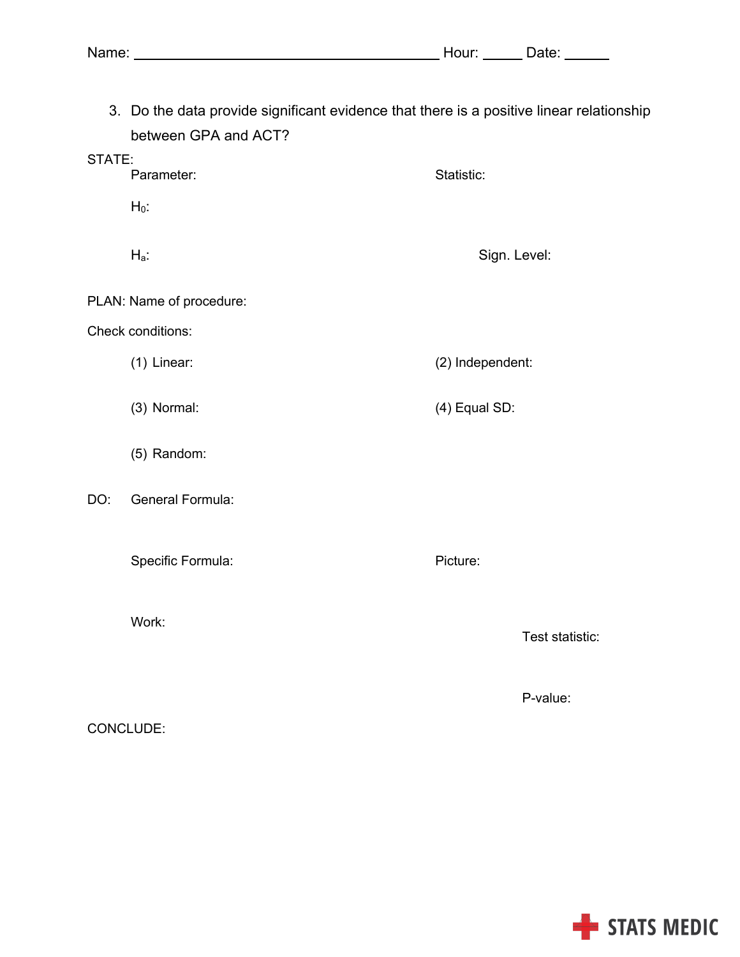| Name: |  | . | )ate: |
|-------|--|---|-------|
|-------|--|---|-------|

3. Do the data provide significant evidence that there is a positive linear relationship between GPA and ACT?

| STATE: | Parameter:               | Statistic:       |
|--------|--------------------------|------------------|
|        | $H_0$ :                  |                  |
|        | $H_a$ :                  | Sign. Level:     |
|        | PLAN: Name of procedure: |                  |
|        | Check conditions:        |                  |
|        | $(1)$ Linear:            | (2) Independent: |
|        | (3) Normal:              | (4) Equal SD:    |
|        | (5) Random:              |                  |
| DO:    | <b>General Formula:</b>  |                  |
|        | Specific Formula:        | Picture:         |
|        | Work:                    | Test statistic:  |
|        |                          | P-value:         |

CONCLUDE: